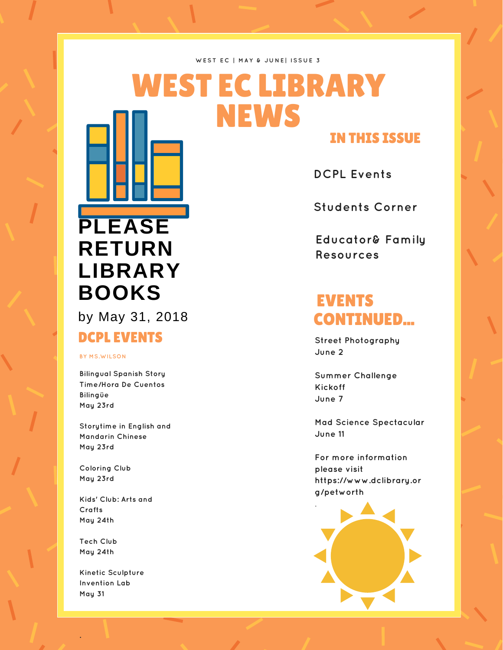#### **WE S T E C | M A Y & J U N E | I S S U E 3**

## WEST EC LIBRARY NEWS IN THIS ISSUE

**DCPL Events**

**Students Corner**

**Educator& Family Resources**

# [CONTINUED...](https://www.dclibrary.org/petworth)

**Street Photography June 2**

**Summer Challenge Kickoff June 7**

**Mad Science Spectacular June 11**

**For more information please visit https://www.dclibrary.or g/petworth**



# **PLEASE RETURN LIBRARY BOOKS** EVENTS

by May 31, 2018

### DCPL EVENTS

### **BY MS.WILSON**

**Bilingual Spanish Story Time/Hora De Cuentos Bilingüe May 23rd**

**Storytime in English and Mandarin Chinese May 23rd**

**Coloring Club May 23rd**

**Kids' Club: Arts and Crafts May 24th**

**Tech Club May 24th**

**.**

**Kinetic Sculpture Invention Lab May 31**